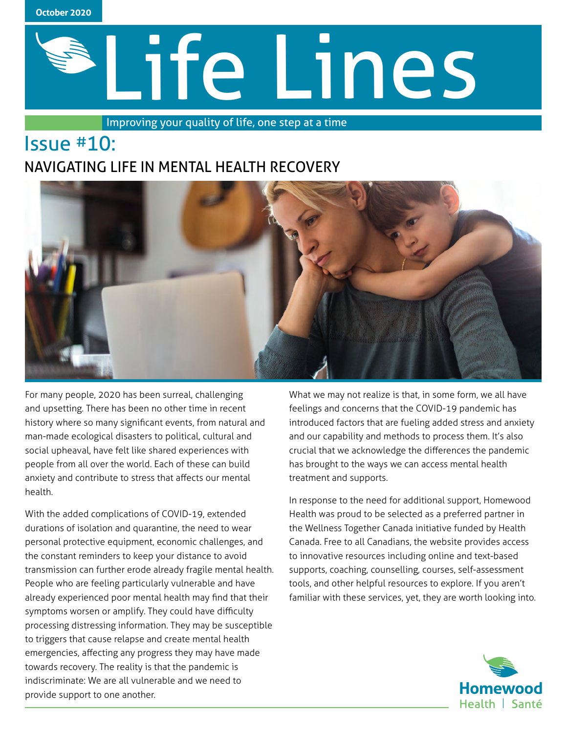

# Life Lines

Improving your quality of life, one step at a time

# Issue #10: NAVIGATING LIFE IN MENTAL HEALTH RECOVERY



For many people, 2020 has been surreal, challenging and upsetting. There has been no other time in recent history where so many significant events, from natural and man-made ecological disasters to political, cultural and social upheaval, have felt like shared experiences with people from all over the world. Each of these can build anxiety and contribute to stress that affects our mental health.

With the added complications of COVID-19, extended durations of isolation and quarantine, the need to wear personal protective equipment, economic challenges, and the constant reminders to keep your distance to avoid transmission can further erode already fragile mental health. People who are feeling particularly vulnerable and have already experienced poor mental health may find that their symptoms worsen or amplify. They could have difficulty processing distressing information. They may be susceptible to triggers that cause relapse and create mental health emergencies, affecting any progress they may have made towards recovery. The reality is that the pandemic is indiscriminate: We are all vulnerable and we need to provide support to one another.

What we may not realize is that, in some form, we all have feelings and concerns that the COVID-19 pandemic has introduced factors that are fueling added stress and anxiety and our capability and methods to process them. It's also crucial that we acknowledge the differences the pandemic has brought to the ways we can access mental health treatment and supports.

In response to the need for additional support, Homewood Health was proud to be selected as a preferred partner in the Wellness Together Canada initiative funded by Health Canada. Free to all Canadians, the website provides access to innovative resources including online and text-based supports, coaching, counselling, courses, self-assessment tools, and other helpful resources to explore. If you aren't familiar with these services, yet, they are worth looking into.

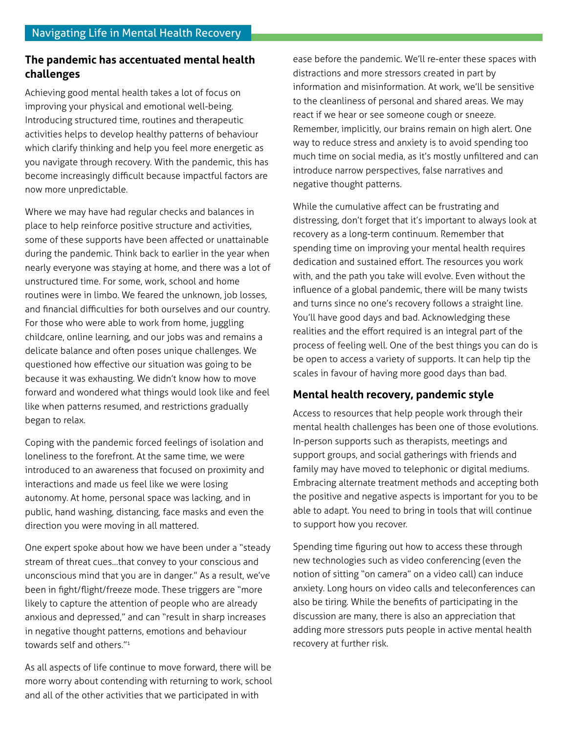### **The pandemic has accentuated mental health challenges**

Achieving good mental health takes a lot of focus on improving your physical and emotional well-being. Introducing structured time, routines and therapeutic activities helps to develop healthy patterns of behaviour which clarify thinking and help you feel more energetic as you navigate through recovery. With the pandemic, this has become increasingly difficult because impactful factors are now more unpredictable.

Where we may have had regular checks and balances in place to help reinforce positive structure and activities, some of these supports have been affected or unattainable during the pandemic. Think back to earlier in the year when nearly everyone was staying at home, and there was a lot of unstructured time. For some, work, school and home routines were in limbo. We feared the unknown, job losses, and financial difficulties for both ourselves and our country. For those who were able to work from home, juggling childcare, online learning, and our jobs was and remains a delicate balance and often poses unique challenges. We questioned how effective our situation was going to be because it was exhausting. We didn't know how to move forward and wondered what things would look like and feel like when patterns resumed, and restrictions gradually began to relax.

Coping with the pandemic forced feelings of isolation and loneliness to the forefront. At the same time, we were introduced to an awareness that focused on proximity and interactions and made us feel like we were losing autonomy. At home, personal space was lacking, and in public, hand washing, distancing, face masks and even the direction you were moving in all mattered.

One expert spoke about how we have been under a "steady stream of threat cues…that convey to your conscious and unconscious mind that you are in danger." As a result, we've been in fight/flight/freeze mode. These triggers are "more likely to capture the attention of people who are already anxious and depressed," and can "result in sharp increases in negative thought patterns, emotions and behaviour towards self and others."1

As all aspects of life continue to move forward, there will be more worry about contending with returning to work, school and all of the other activities that we participated in with

ease before the pandemic. We'll re-enter these spaces with distractions and more stressors created in part by information and misinformation. At work, we'll be sensitive to the cleanliness of personal and shared areas. We may react if we hear or see someone cough or sneeze. Remember, implicitly, our brains remain on high alert. One way to reduce stress and anxiety is to avoid spending too much time on social media, as it's mostly unfiltered and can introduce narrow perspectives, false narratives and negative thought patterns.

While the cumulative affect can be frustrating and distressing, don't forget that it's important to always look at recovery as a long-term continuum. Remember that spending time on improving your mental health requires dedication and sustained effort. The resources you work with, and the path you take will evolve. Even without the influence of a global pandemic, there will be many twists and turns since no one's recovery follows a straight line. You'll have good days and bad. Acknowledging these realities and the effort required is an integral part of the process of feeling well. One of the best things you can do is be open to access a variety of supports. It can help tip the scales in favour of having more good days than bad.

### **Mental health recovery, pandemic style**

Access to resources that help people work through their mental health challenges has been one of those evolutions. In-person supports such as therapists, meetings and support groups, and social gatherings with friends and family may have moved to telephonic or digital mediums. Embracing alternate treatment methods and accepting both the positive and negative aspects is important for you to be able to adapt. You need to bring in tools that will continue to support how you recover.

Spending time figuring out how to access these through new technologies such as video conferencing (even the notion of sitting "on camera" on a video call) can induce anxiety. Long hours on video calls and teleconferences can also be tiring. While the benefits of participating in the discussion are many, there is also an appreciation that adding more stressors puts people in active mental health recovery at further risk.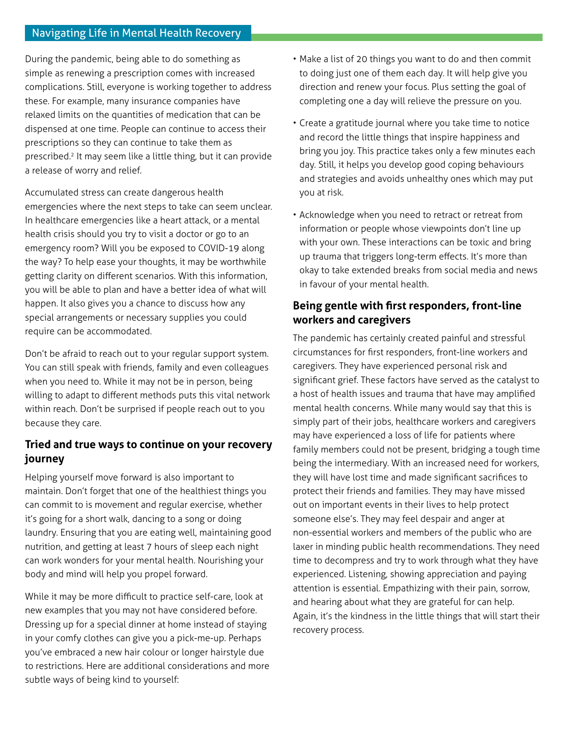During the pandemic, being able to do something as simple as renewing a prescription comes with increased complications. Still, everyone is working together to address these. For example, many insurance companies have relaxed limits on the quantities of medication that can be dispensed at one time. People can continue to access their prescriptions so they can continue to take them as prescribed.2 It may seem like a little thing, but it can provide a release of worry and relief.

Accumulated stress can create dangerous health emergencies where the next steps to take can seem unclear. In healthcare emergencies like a heart attack, or a mental health crisis should you try to visit a doctor or go to an emergency room? Will you be exposed to COVID-19 along the way? To help ease your thoughts, it may be worthwhile getting clarity on different scenarios. With this information, you will be able to plan and have a better idea of what will happen. It also gives you a chance to discuss how any special arrangements or necessary supplies you could require can be accommodated.

Don't be afraid to reach out to your regular support system. You can still speak with friends, family and even colleagues when you need to. While it may not be in person, being willing to adapt to different methods puts this vital network within reach. Don't be surprised if people reach out to you because they care.

## **Tried and true ways to continue on your recovery journey**

Helping yourself move forward is also important to maintain. Don't forget that one of the healthiest things you can commit to is movement and regular exercise, whether it's going for a short walk, dancing to a song or doing laundry. Ensuring that you are eating well, maintaining good nutrition, and getting at least 7 hours of sleep each night can work wonders for your mental health. Nourishing your body and mind will help you propel forward.

While it may be more difficult to practice self-care, look at new examples that you may not have considered before. Dressing up for a special dinner at home instead of staying in your comfy clothes can give you a pick-me-up. Perhaps you've embraced a new hair colour or longer hairstyle due to restrictions. Here are additional considerations and more subtle ways of being kind to yourself:

- Make a list of 20 things you want to do and then commit to doing just one of them each day. It will help give you direction and renew your focus. Plus setting the goal of completing one a day will relieve the pressure on you.
- Create a gratitude journal where you take time to notice and record the little things that inspire happiness and bring you joy. This practice takes only a few minutes each day. Still, it helps you develop good coping behaviours and strategies and avoids unhealthy ones which may put you at risk.
- Acknowledge when you need to retract or retreat from information or people whose viewpoints don't line up with your own. These interactions can be toxic and bring up trauma that triggers long-term effects. It's more than okay to take extended breaks from social media and news in favour of your mental health.

# **Being gentle with first responders, front-line workers and caregivers**

The pandemic has certainly created painful and stressful circumstances for first responders, front-line workers and caregivers. They have experienced personal risk and significant grief. These factors have served as the catalyst to a host of health issues and trauma that have may amplified mental health concerns. While many would say that this is simply part of their jobs, healthcare workers and caregivers may have experienced a loss of life for patients where family members could not be present, bridging a tough time being the intermediary. With an increased need for workers, they will have lost time and made significant sacrifices to protect their friends and families. They may have missed out on important events in their lives to help protect someone else's. They may feel despair and anger at non-essential workers and members of the public who are laxer in minding public health recommendations. They need time to decompress and try to work through what they have experienced. Listening, showing appreciation and paying attention is essential. Empathizing with their pain, sorrow, and hearing about what they are grateful for can help. Again, it's the kindness in the little things that will start their recovery process.